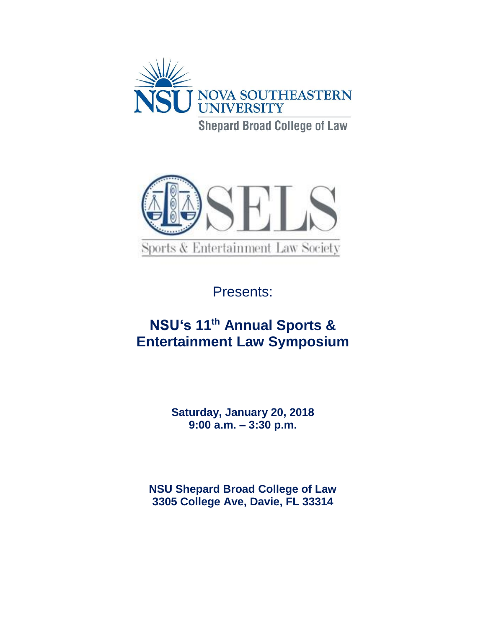



Presents:

# **NSU's 11 th Annual Sports & Entertainment Law Symposium**

**Saturday, January 20, 2018 9:00 a.m. – 3:30 p.m.**

**NSU Shepard Broad College of Law 3305 College Ave, Davie, FL 33314**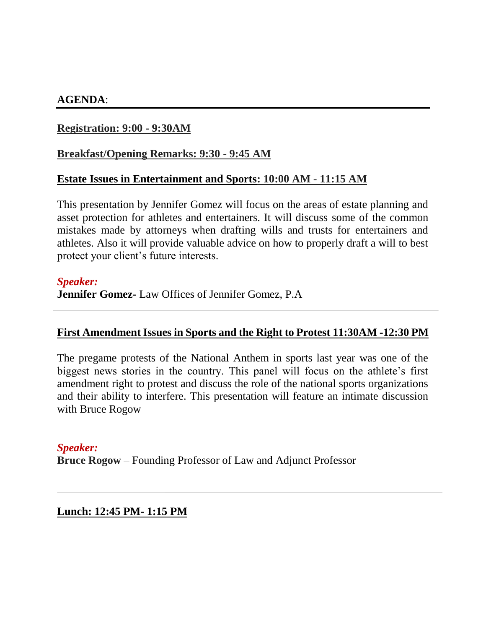## **AGENDA**:

## **Registration: 9:00 - 9:30AM**

### **Breakfast/Opening Remarks: 9:30 - 9:45 AM**

#### **Estate Issues in Entertainment and Sports: 10:00 AM - 11:15 AM**

This presentation by Jennifer Gomez will focus on the areas of estate planning and asset protection for athletes and entertainers. It will discuss some of the common mistakes made by attorneys when drafting wills and trusts for entertainers and athletes. Also it will provide valuable advice on how to properly draft a will to best protect your client's future interests.

#### *Speaker:*

**Jennifer Gomez-** Law Offices of Jennifer Gomez, P.A

#### **First Amendment Issues in Sports and the Right to Protest 11:30AM -12:30 PM**

The pregame protests of the National Anthem in sports last year was one of the biggest news stories in the country. This panel will focus on the athlete's first amendment right to protest and discuss the role of the national sports organizations and their ability to interfere. This presentation will feature an intimate discussion with Bruce Rogow

#### *Speaker:*

**Bruce Rogow** – Founding Professor of Law and Adjunct Professor

**Lunch: 12:45 PM- 1:15 PM**